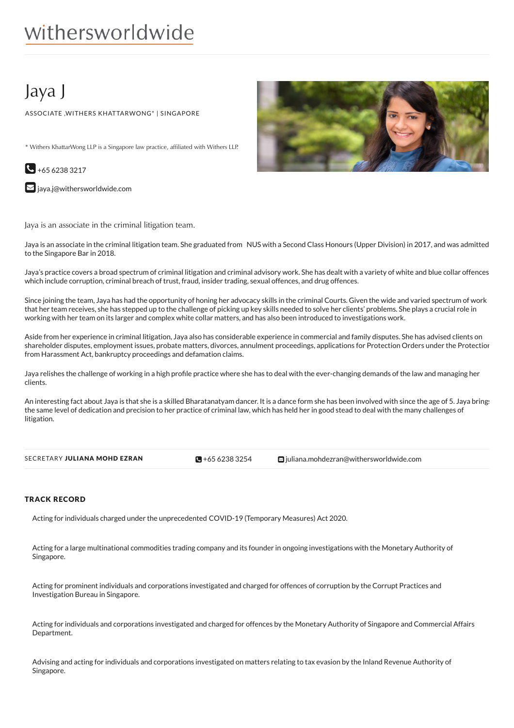# withersworldwide

## Jaya J

ASSOCIATE ,WITHERS KHATTARWONG\* | SINGAPORE

\* Withers KhattarWong LLP is a Singapore law practice, affiliated with Withers LLP.



 $\blacktriangleright$  [jaya.j@withersworldwide.com](mailto:jaya.j@withersworldwide.com?subject=Website Enquiry - Profile Page)

Jaya is an associate in the criminal litigation team.

Jaya is an associate in the criminal litigation team. She graduated from NUS with a Second Class Honours (Upper Division) in 2017, and was admitted to the Singapore Bar in 2018.

Jaya's practice covers a broad spectrum of criminal litigation and criminal advisory work. She has dealt with a variety of white and blue collar offences which include corruption, criminal breach of trust, fraud, insider trading, sexual offences, and drug offences.

Since joining the team, Jaya has had the opportunity of honing her advocacy skills in the criminal Courts. Given the wide and varied spectrum of work that her team receives, she has stepped up to the challenge of picking up key skills needed to solve her clients' problems. She plays a crucial role in working with her team on its larger and complex white collar matters, and has also been introduced to investigations work.

Aside from her experience in criminal litigation, Jaya also has considerable experience in commercial and family disputes. She has advised clients on shareholder disputes, employment issues, probate matters, divorces, annulment proceedings, applications for Protection Orders under the Protection from Harassment Act, bankruptcy proceedings and defamation claims.

Jaya relishes the challenge of working in a high profile practice where she has to deal with the ever-changing demands of the law and managing her clients.

An interesting fact about Jaya is that she is a skilled Bharatanatyam dancer. It is a dance form she has been involved with since the age of 5. Jaya brings the same level of dedication and precision to her practice of criminal law, which has held her in good stead to deal with the many challenges of litigation.

| SECRETARY JULIANA MOHD EZRAN | $\bigotimes$ +65 6238 3254 | $\blacksquare$ juliana.mohdezran@withersworldwide.com |
|------------------------------|----------------------------|-------------------------------------------------------|
|                              |                            |                                                       |

#### TRACK RECORD

Acting for individuals charged under the unprecedented COVID-19 (Temporary Measures) Act 2020.

Acting for a large multinational commodities trading company and its founder in ongoing investigations with the Monetary Authority of Singapore.

Acting for prominent individuals and corporations investigated and charged for offences of corruption by the Corrupt Practices and Investigation Bureau in Singapore.

Acting for individuals and corporations investigated and charged for offences by the Monetary Authority of Singapore and Commercial Affairs Department.

Advising and acting for individuals and corporations investigated on matters relating to tax evasion by the Inland Revenue Authority of Singapore.